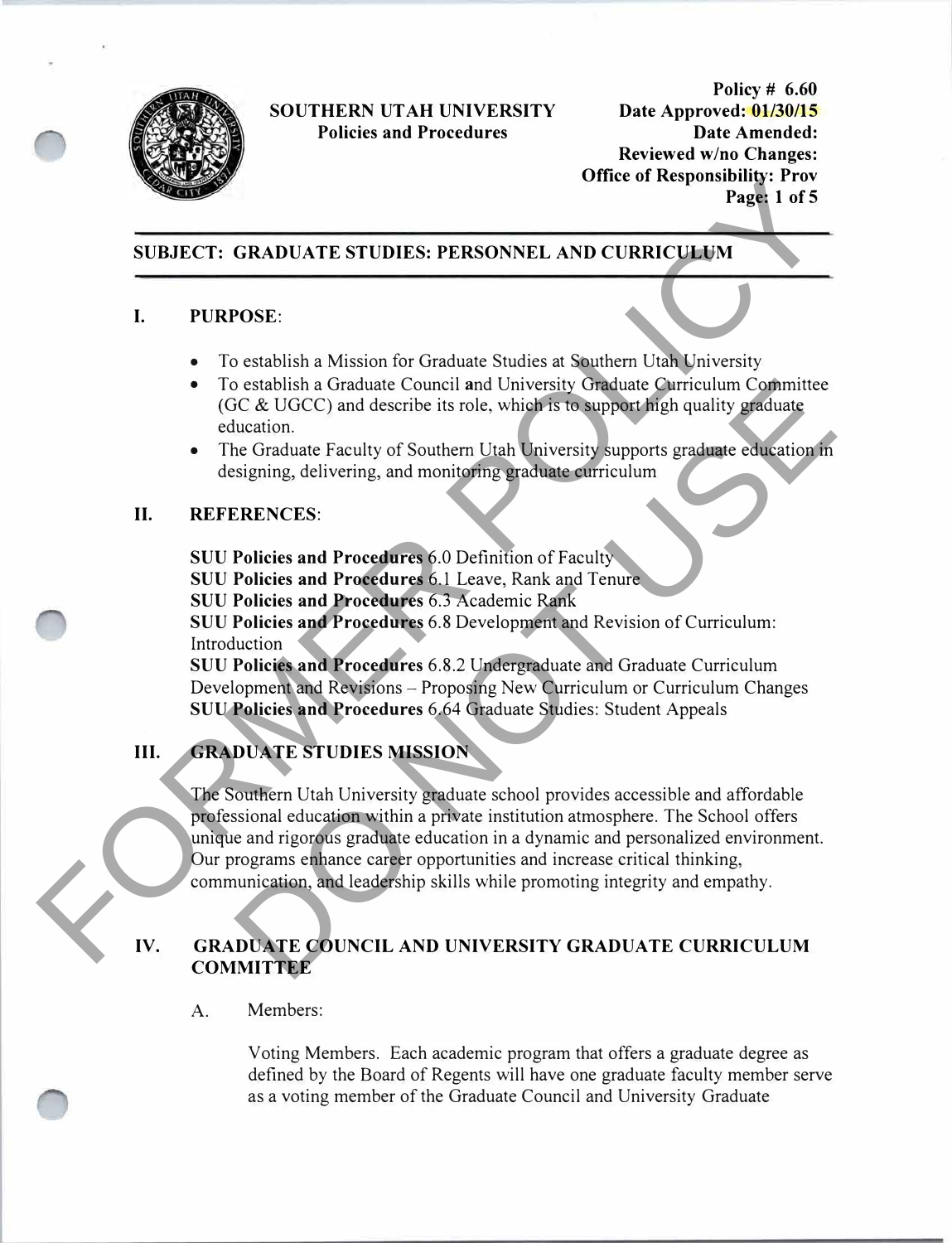

**Policy # 6.60 Date Approved: 01/30/15 Date Amended: Reviewed wino Changes: Office of Responsibility: Prov Page: 1 of 5** 

## **SUBJECT: GRADUATE STUDIES: PERSONNEL AND CURRICULUM**

#### **I. PURPOSE:**

- To establish a Mission for Graduate Studies at Southern Utah University
- To establish a Graduate Council and University Graduate Curriculum Committee (GC & UGCC) and describe its role, which is to support high quality graduate education.
- The Graduate Faculty of Southern Utah University supports graduate education in designing, delivering, and monitoring graduate curriculum

#### **II. REFERENCES:**

**SUU Policies and Procedures** 6.0 Definition of Faculty

**SUU Policies and Procedures** 6.1 Leave, Rank and Tenure

**SUU Policies and Procedures** 6.3 Academic Rank

**SUU Policies and Procedures** 6.8 Development and Revision of Curriculum: Introduction

**SUU Policies and Procedures** 6.8.2 Undergraduate and Graduate Curriculum Development and Revisions - Proposing New Curriculum or Curriculum Changes **SUU Policies and Procedures** 6.64 Graduate Studies: Student Appeals

# **III. GRADUATE STUDIES MISSION**

The Southern Utah University graduate school provides accessible and affordable professional education within a private institution atmosphere. The School offers unique and rigorous graduate education in a dynamic and personalized environment. Our programs enhance career opportunities and increase critical thinking, communication, and leadership skills while promoting integrity and empathy. UTINE TO THE STEVEN STEVENS AND CURRICULE MANUATE STUDIES. PERSONNEL AND CURRICULE MANUATE STUDIES.<br>
T. PILIRPOSE:<br>
T. Detaiblish a Nisisan for Graduat Studies at Sudden Curriculum Committee (GC & UGCC) and describe its ro o establish a Graduate Council and University Graduate Curriculum Committee<br>
CE UGCC) and describe its role, which is to support high quality graduate<br>
tucation.<br>
tucation.<br>
tucation.<br>
ENENCES:<br>
Policies and Procedures 6.0

### **IV. GRADUATE COUNCIL AND UNIVERSITY GRADUATE CURRICULUM COMMITTEE**

A. Members:

Voting Members. Each academic program that offers a graduate degree as defined by the Board of Regents will have one graduate faculty member serve as a voting member of the Graduate Council and University Graduate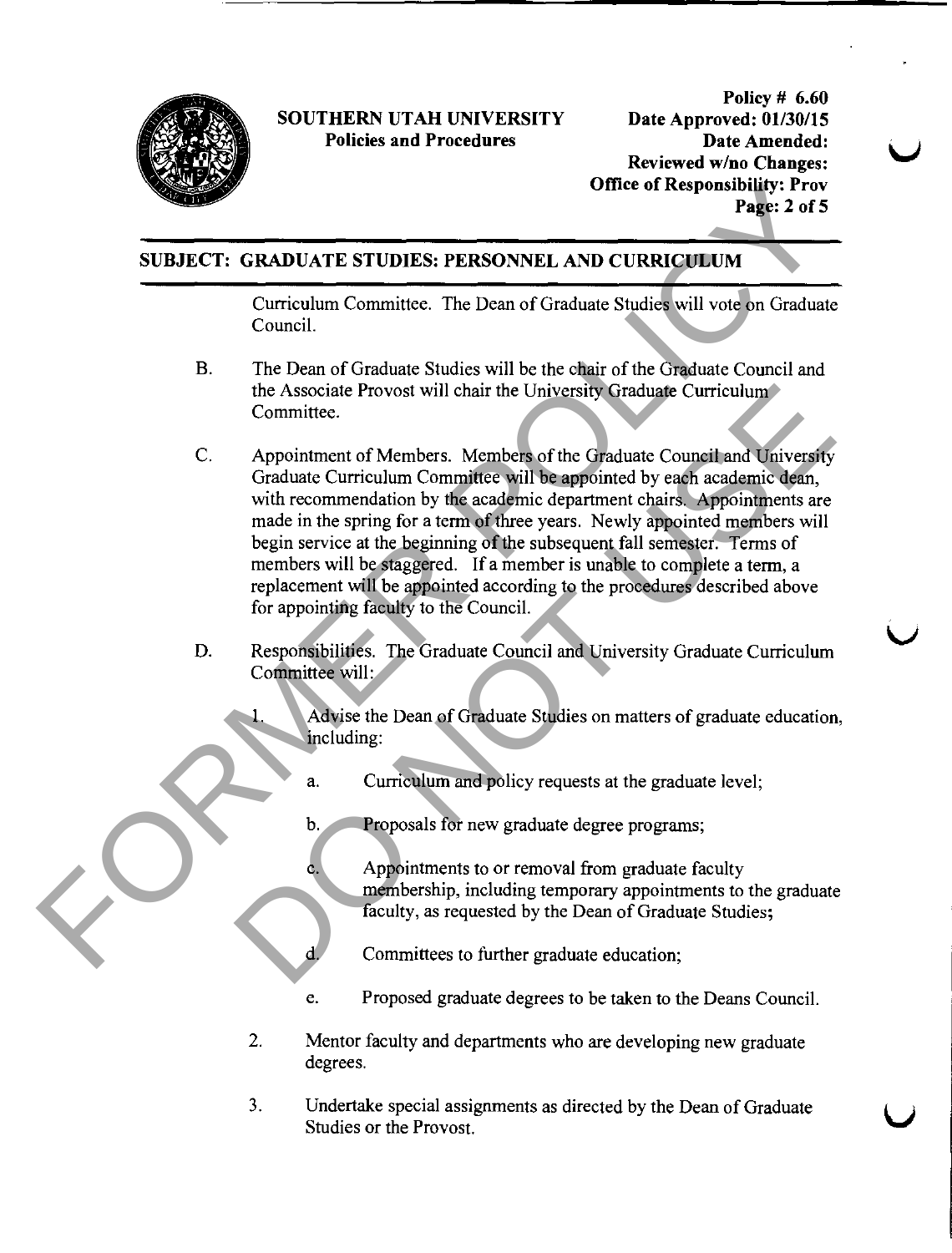

Policy # 6.60 Date Approved: 01/30/15 Date Amended: Reviewed w/no Changes: Office of Responsibility: Prov Page: 2 of 5

# SUBJECT: GRADUATE STUDIES: PERSONNEL AND CURRICULUM

Curriculum Committee. The Dean of Graduate Studies will vote on Graduate Council.

- B. The Dean of Graduate Studies will be the chair of the Graduate Council and the Associate Provost will chair the University Graduate Curriculum Committee.
- C. Appointment of Members. Members of the Graduate Council and University Graduate Curriculum Committee will be appointed by each academic dean, with recommendation by the academic department chairs. Appointments are made in the spring for a term of three years. Newly appointed members will begin service at the beginning of the subsequent fall semester. Terms of members will be staggered. If a member is unable to complete a term, a replacement will be appointed according to the procedures described above for appointing faculty to the Council. Office of Responsibility Provide Control and the proposition of Conduction Committee.<br>
Figure 2 of S<br>
SUBJECT: CRADUATE STUDIES: PERSONNEL AND CURRICULUM<br>
Curriculum Committee. The Dean of Graduate Studies will vote on Gra the Associate Provost will chair the University Graduate Curriculum<br>
Committee.<br>
Appointment of Members. Members of the Graduate Council and University<br>
Graduate Curriculum Committee will be appointed by each academic depa
	- D. Responsibilities. The Graduate Council and University Graduate Curriculum Committee will:
		- Advise the Dean of Graduate Studies on matters of graduate education, including:
			- a. Curriculum and policy requests at the graduate level;
			- b. Proposals for new graduate degree programs;
			- c. Appointments to or removal from graduate faculty membership, including temporary appointments to the graduate faculty, as requested by the Dean of Graduate Studies;

Committees to further graduate education;

- e. Proposed graduate degrees to be taken to the Deans Council.
- 2. Mentor faculty and departments who are developing new graduate degrees.
- 3. Undertake special assignments as directed by the Dean of Graduate Studies or the Provost.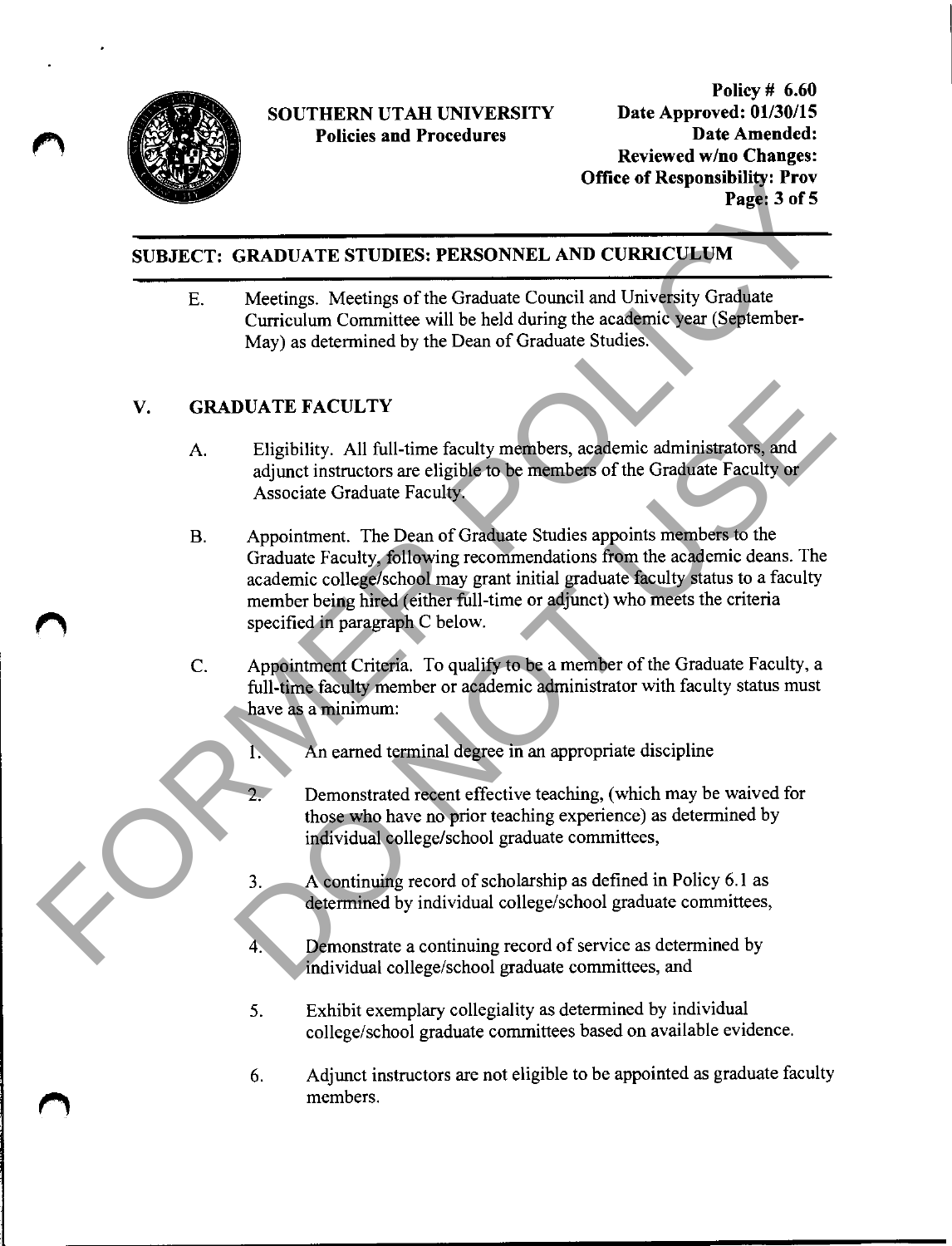

Policy # 6.60 Date Approved: 01/30/15 Date Amended: Reviewed w/no Changes: Office of Responsibility: Prov Page: 3 of 5

# SUBJECT: GRADUATE STUDIES: PERSONNEL AND CURRICULUM

E. Meetings. Meetings of the Graduate Council and University Graduate Curriculum Committee will be held during the academic year (September-May) as determined by the Dean of Graduate Studies.

## V. GRADUATE FACULTY

- A. Eligibility. All full-time faculty members, academic administrators, and adjunct instructors are eligible to be members of the Graduate Faculty or Associate Graduate Faculty.
- B. Appointment. The Dean of Graduate Studies appoints members to the Graduate Faculty, following recommendations from the academic deans. The academic college/school may grant initial graduate faculty status to a faculty member being hired (either full-time or adjunct) who meets the criteria specified in paragraph C below. The orientation Page of the Graduate Council and University Consideration<br>
E. Meetings. Meetings of the Graduate Council and University Graduate<br>
Curriculum Committee will be held during the case (Spitember-<br>
Curriculum C **DUATE FACULTY**<br>
Eligibility. All full-time faculty members, academic administrators, and<br>
adjunct instructors are eligible to be members of the Graduate Faculty or<br>
Associate Graduate Faculty<br>
Appointment. The Dean of Gra
	- C. Appointment Criteria. To qualify to be a member of the Graduate Faculty, a full-time faculty member or academic administrator with faculty status must have as a minimum:
		- An earned terminal degree in an appropriate discipline
		- Demonstrated recent effective teaching, (which may be waived for those who have no prior teaching experience) as determined by individual college/school graduate committees,
		- 3. A continuing record of scholarship as defined in Policy 6.1 as determined by individual college/school graduate committees,
		- Demonstrate a continuing record of service as determined by individual college/school graduate committees, and
		- 5. Exhibit exemplary collegiality as determined by individual college/school graduate committees based on available evidence.
		- 6. Adjunct instructors are not eligible to be appointed as graduate faculty members.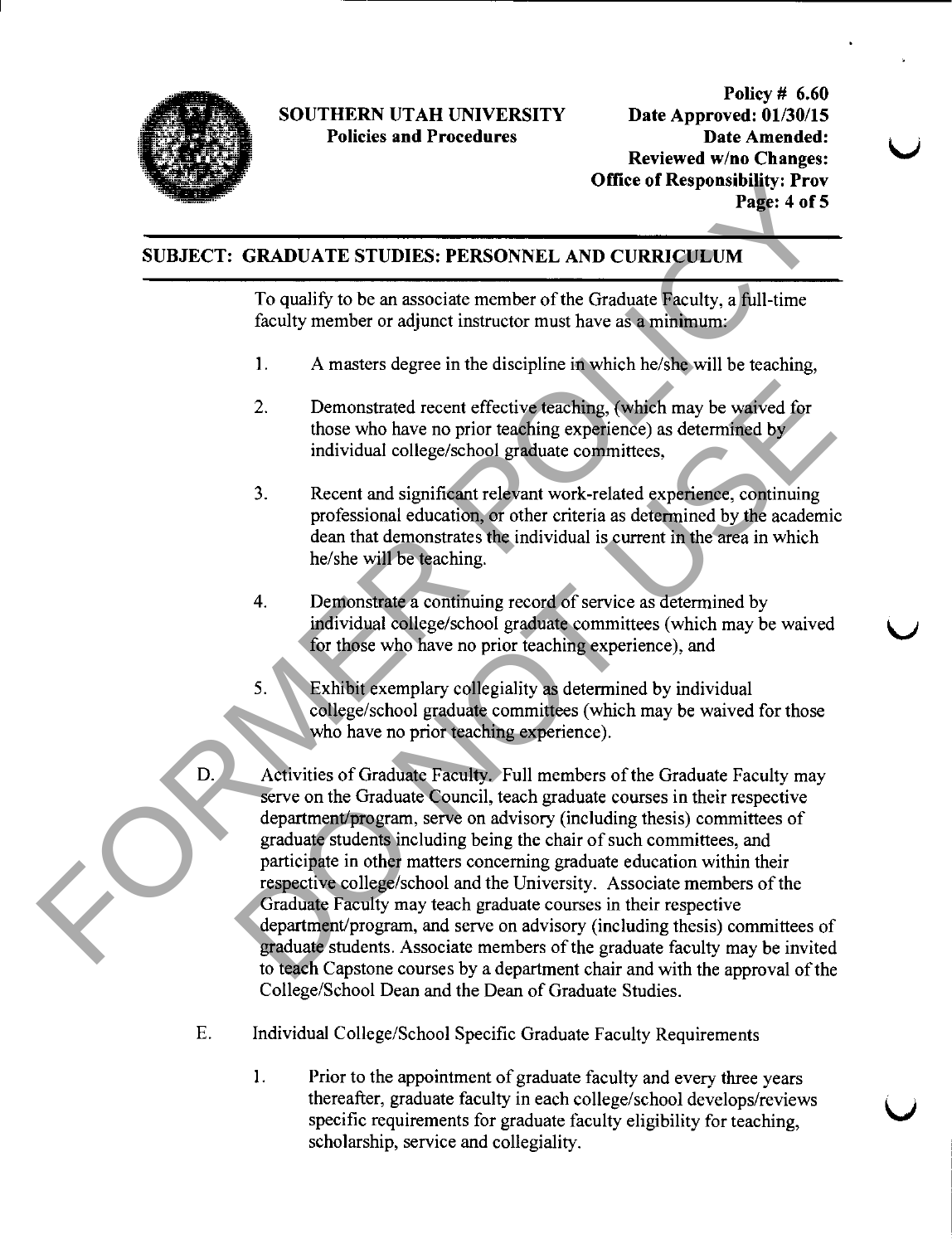

Policy # 6.60 Date Approved: 01/30/15 Date Amended: Reviewed w/no Changes: Office of Responsibility: Prov Page: 4 of 5

# SUBJECT: GRADUATE STUDIES• PERSONNEL AND CURRICULUM

To qualify to be an associate member of the Graduate Faculty, a full-time faculty member or adjunct instructor must have as a minimum:

- 1. A masters degree in the discipline in which he/she will be teaching,
- 2. Demonstrated recent effective teaching, (which may be waived for those who have no prior teaching experience) as determined by individual college/school graduate committees,
- 3. Recent and significant relevant work-related experience, continuing professional education, or other criteria as determined by the academic dean that demonstrates the individual is current in the area in which he/she will be teaching.
- 4. Demonstrate a continuing record of service as determined by individual college/school graduate committees (which may be waived for those who have no prior teaching experience), and
- 5. Exhibit exemplary collegiality as determined by individual college/school graduate committees (which may be waived for those who have no prior teaching experience).
- D. Activities of Graduate Faculty. Full members of the Graduate Faculty may serve on the Graduate Council, teach graduate courses in their respective department/program, serve on advisory (including thesis) committees of graduate students including being the chair of such committees, and participate in other matters concerning graduate education within their respective college/school and the University. Associate members of the Graduate Faculty may teach graduate courses in their respective department/program, and serve on advisory (including thesis) committees of graduate students. Associate members of the graduate faculty may be invited to teach Capstone courses by a department chair and with the approval of the College/School Dean and the Dean of Graduate Studies. Office of Responsibility: Provided and the UNERGONNEL AND CURRICULUM<br>
To qualify to be an associate member of the Graduate Raculty, a full-time<br>
from the Conduct instructor must have as a minimum<br>
1. A masters degree in th Communistated recent effective teaching. (which may be waived for<br>those who have no prior teaching experience) as determined by<br>individual college/school graduate committees,<br>3. Recent and significant relevant work-related
	- E. Individual College/School Specific Graduate Faculty Requirements
		- 1. Prior to the appointment of graduate faculty and every three years thereafter, graduate faculty in each college/school develops/reviews specific requirements for graduate faculty eligibility for teaching, scholazship, service and collegiality.